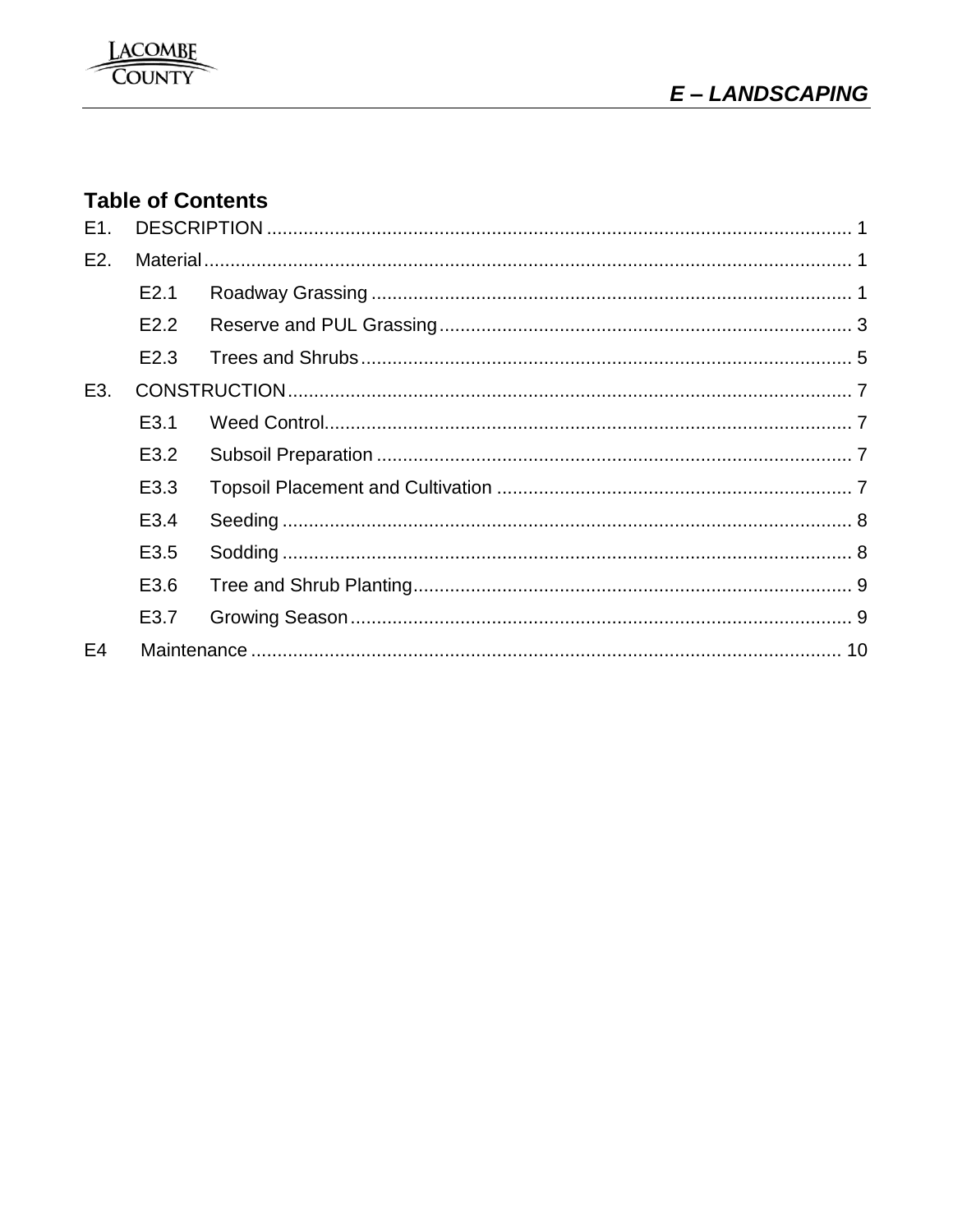# **Table of Contents**

| E1.              |                  |  |  |
|------------------|------------------|--|--|
| E <sub>2</sub> . |                  |  |  |
|                  | E2.1             |  |  |
|                  | E2.2             |  |  |
|                  | E <sub>2.3</sub> |  |  |
| E3.              |                  |  |  |
|                  | E <sub>3.1</sub> |  |  |
|                  | E3.2             |  |  |
|                  | E3.3             |  |  |
|                  | E3.4             |  |  |
|                  | E <sub>3.5</sub> |  |  |
|                  | E3.6             |  |  |
|                  | E3.7             |  |  |
| E <sub>4</sub>   |                  |  |  |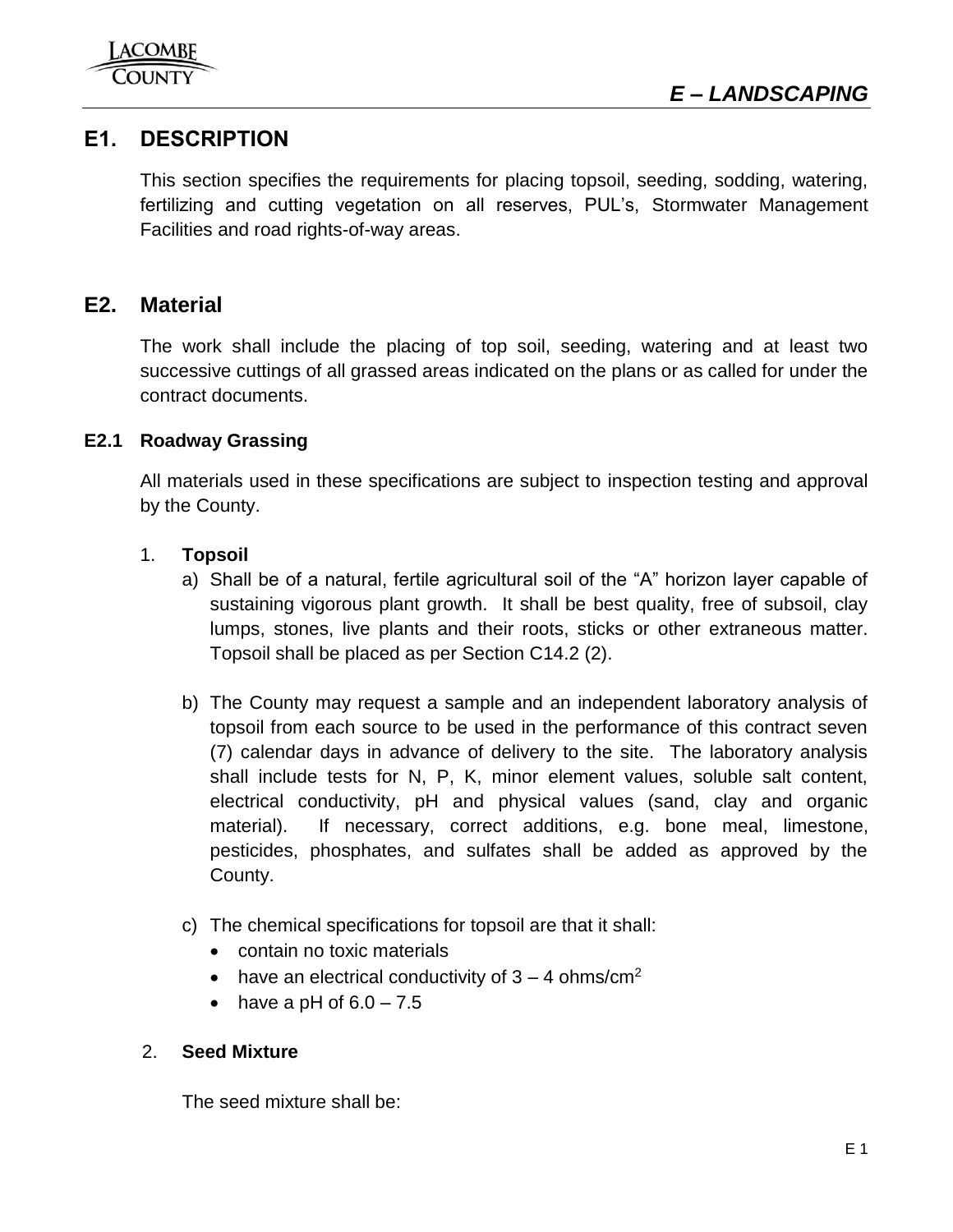<span id="page-1-1"></span>



# <span id="page-1-0"></span>**E1. DESCRIPTION**

This section specifies the requirements for placing topsoil, seeding, sodding, watering, fertilizing and cutting vegetation on all reserves, PUL's, Stormwater Management Facilities and road rights-of-way areas.

### **E2. Material**

The work shall include the placing of top soil, seeding, watering and at least two successive cuttings of all grassed areas indicated on the plans or as called for under the contract documents.

### <span id="page-1-2"></span>**E2.1 Roadway Grassing**

All materials used in these specifications are subject to inspection testing and approval by the County.

### 1. **Topsoil**

- a) Shall be of a natural, fertile agricultural soil of the "A" horizon layer capable of sustaining vigorous plant growth. It shall be best quality, free of subsoil, clay lumps, stones, live plants and their roots, sticks or other extraneous matter. Topsoil shall be placed as per Section C14.2 (2).
- b) The County may request a sample and an independent laboratory analysis of topsoil from each source to be used in the performance of this contract seven (7) calendar days in advance of delivery to the site. The laboratory analysis shall include tests for N, P, K, minor element values, soluble salt content, electrical conductivity, pH and physical values (sand, clay and organic material). If necessary, correct additions, e.g. bone meal, limestone, pesticides, phosphates, and sulfates shall be added as approved by the County.
- c) The chemical specifications for topsoil are that it shall:
	- contain no toxic materials
	- have an electrical conductivity of  $3 4$  ohms/cm<sup>2</sup>
	- have a pH of  $6.0 7.5$

### 2. **Seed Mixture**

The seed mixture shall be: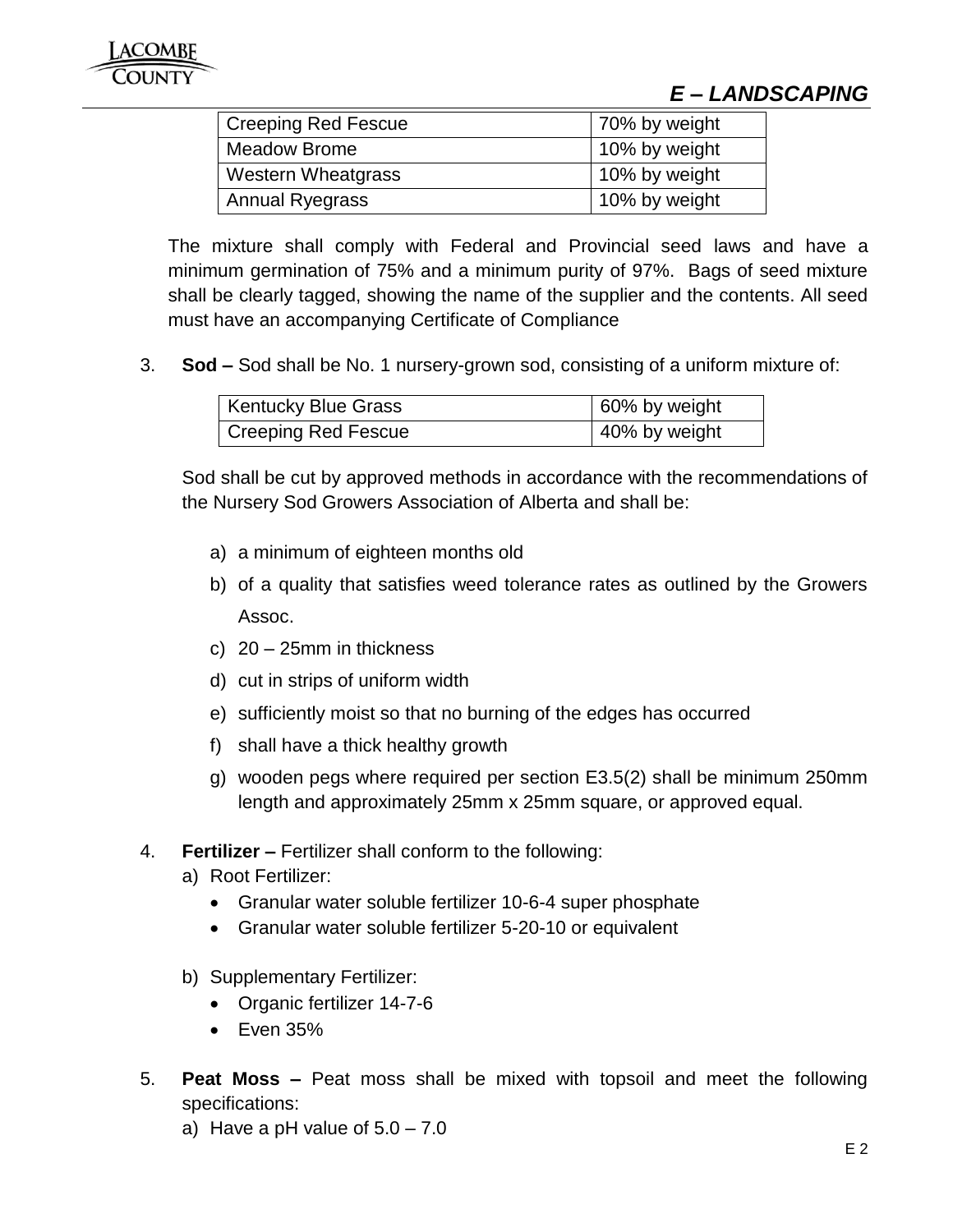# *E – LANDSCAPING*

| <b>Creeping Red Fescue</b> | 70% by weight |
|----------------------------|---------------|
| <b>Meadow Brome</b>        | 10% by weight |
| <b>Western Wheatgrass</b>  | 10% by weight |
| <b>Annual Ryegrass</b>     | 10% by weight |

The mixture shall comply with Federal and Provincial seed laws and have a minimum germination of 75% and a minimum purity of 97%. Bags of seed mixture shall be clearly tagged, showing the name of the supplier and the contents. All seed must have an accompanying Certificate of Compliance

3. **Sod –** Sod shall be No. 1 nursery-grown sod, consisting of a uniform mixture of:

| <b>Kentucky Blue Grass</b> | 60% by weight |
|----------------------------|---------------|
| <b>Creeping Red Fescue</b> | 40% by weight |

Sod shall be cut by approved methods in accordance with the recommendations of the Nursery Sod Growers Association of Alberta and shall be:

- a) a minimum of eighteen months old
- b) of a quality that satisfies weed tolerance rates as outlined by the Growers Assoc.
- c) 20 25mm in thickness
- d) cut in strips of uniform width
- e) sufficiently moist so that no burning of the edges has occurred
- f) shall have a thick healthy growth
- g) wooden pegs where required per section E3.5(2) shall be minimum 250mm length and approximately 25mm x 25mm square, or approved equal.
- 4. **Fertilizer –** Fertilizer shall conform to the following:
	- a) Root Fertilizer:
		- Granular water soluble fertilizer 10-6-4 super phosphate
		- Granular water soluble fertilizer 5-20-10 or equivalent
	- b) Supplementary Fertilizer:
		- Organic fertilizer 14-7-6
		- $\bullet$  Even 35%
- 5. **Peat Moss –** Peat moss shall be mixed with topsoil and meet the following specifications:
	- a) Have a pH value of  $5.0 7.0$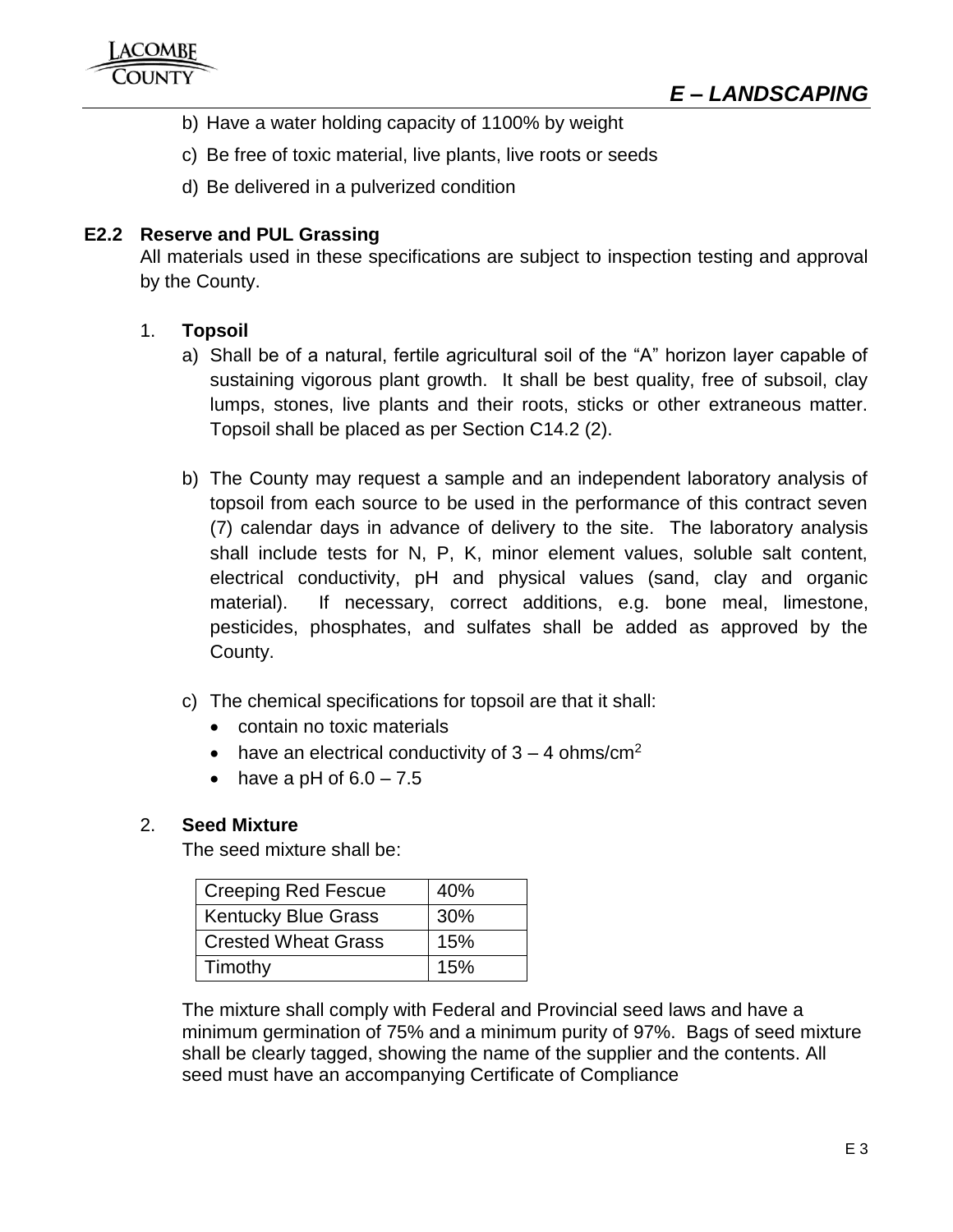- b) Have a water holding capacity of 1100% by weight
- c) Be free of toxic material, live plants, live roots or seeds
- <span id="page-3-0"></span>d) Be delivered in a pulverized condition

### **E2.2 Reserve and PUL Grassing**

All materials used in these specifications are subject to inspection testing and approval by the County.

### 1. **Topsoil**

- a) Shall be of a natural, fertile agricultural soil of the "A" horizon layer capable of sustaining vigorous plant growth. It shall be best quality, free of subsoil, clay lumps, stones, live plants and their roots, sticks or other extraneous matter. Topsoil shall be placed as per Section C14.2 (2).
- b) The County may request a sample and an independent laboratory analysis of topsoil from each source to be used in the performance of this contract seven (7) calendar days in advance of delivery to the site. The laboratory analysis shall include tests for N, P, K, minor element values, soluble salt content, electrical conductivity, pH and physical values (sand, clay and organic material). If necessary, correct additions, e.g. bone meal, limestone, pesticides, phosphates, and sulfates shall be added as approved by the County.
- c) The chemical specifications for topsoil are that it shall:
	- contain no toxic materials
	- have an electrical conductivity of  $3 4$  ohms/cm<sup>2</sup>
	- have a pH of  $6.0 7.5$

### 2. **Seed Mixture**

The seed mixture shall be:

| <b>Creeping Red Fescue</b> | 40% |
|----------------------------|-----|
| <b>Kentucky Blue Grass</b> | 30% |
| <b>Crested Wheat Grass</b> | 15% |
| Timothy                    | 15% |

The mixture shall comply with Federal and Provincial seed laws and have a minimum germination of 75% and a minimum purity of 97%. Bags of seed mixture shall be clearly tagged, showing the name of the supplier and the contents. All seed must have an accompanying Certificate of Compliance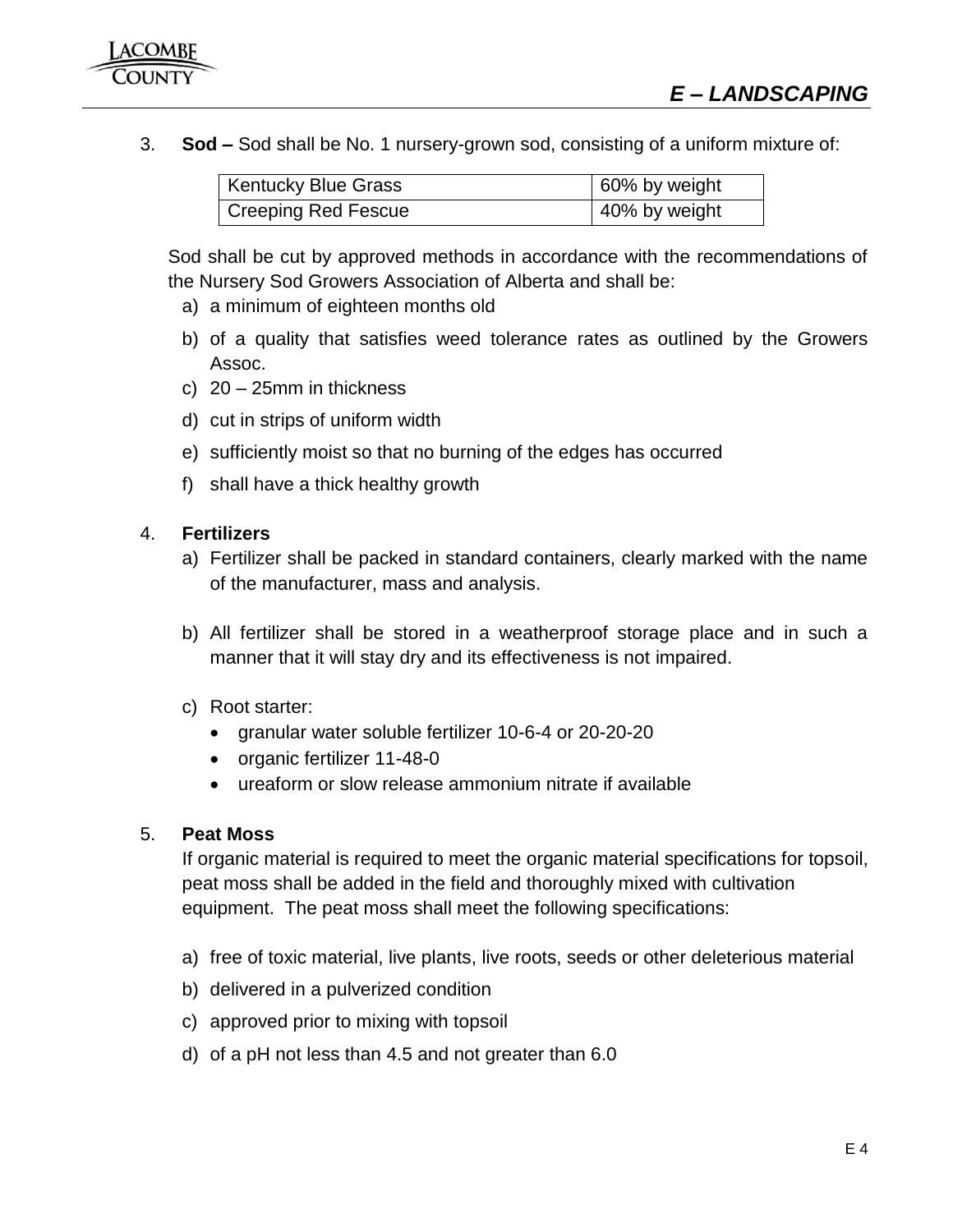3. **Sod –** Sod shall be No. 1 nursery-grown sod, consisting of a uniform mixture of:

| <b>Kentucky Blue Grass</b>       | 60% by weight |
|----------------------------------|---------------|
| <sup>1</sup> Creeping Red Fescue | 40% by weight |

Sod shall be cut by approved methods in accordance with the recommendations of the Nursery Sod Growers Association of Alberta and shall be:

- a) a minimum of eighteen months old
- b) of a quality that satisfies weed tolerance rates as outlined by the Growers Assoc.
- c) 20 25mm in thickness
- d) cut in strips of uniform width
- e) sufficiently moist so that no burning of the edges has occurred
- f) shall have a thick healthy growth

### 4. **Fertilizers**

- a) Fertilizer shall be packed in standard containers, clearly marked with the name of the manufacturer, mass and analysis.
- b) All fertilizer shall be stored in a weatherproof storage place and in such a manner that it will stay dry and its effectiveness is not impaired.
- c) Root starter:
	- granular water soluble fertilizer 10-6-4 or 20-20-20
	- organic fertilizer 11-48-0
	- ureaform or slow release ammonium nitrate if available

### 5. **Peat Moss**

If organic material is required to meet the organic material specifications for topsoil, peat moss shall be added in the field and thoroughly mixed with cultivation equipment. The peat moss shall meet the following specifications:

- a) free of toxic material, live plants, live roots, seeds or other deleterious material
- b) delivered in a pulverized condition
- c) approved prior to mixing with topsoil
- d) of a pH not less than 4.5 and not greater than 6.0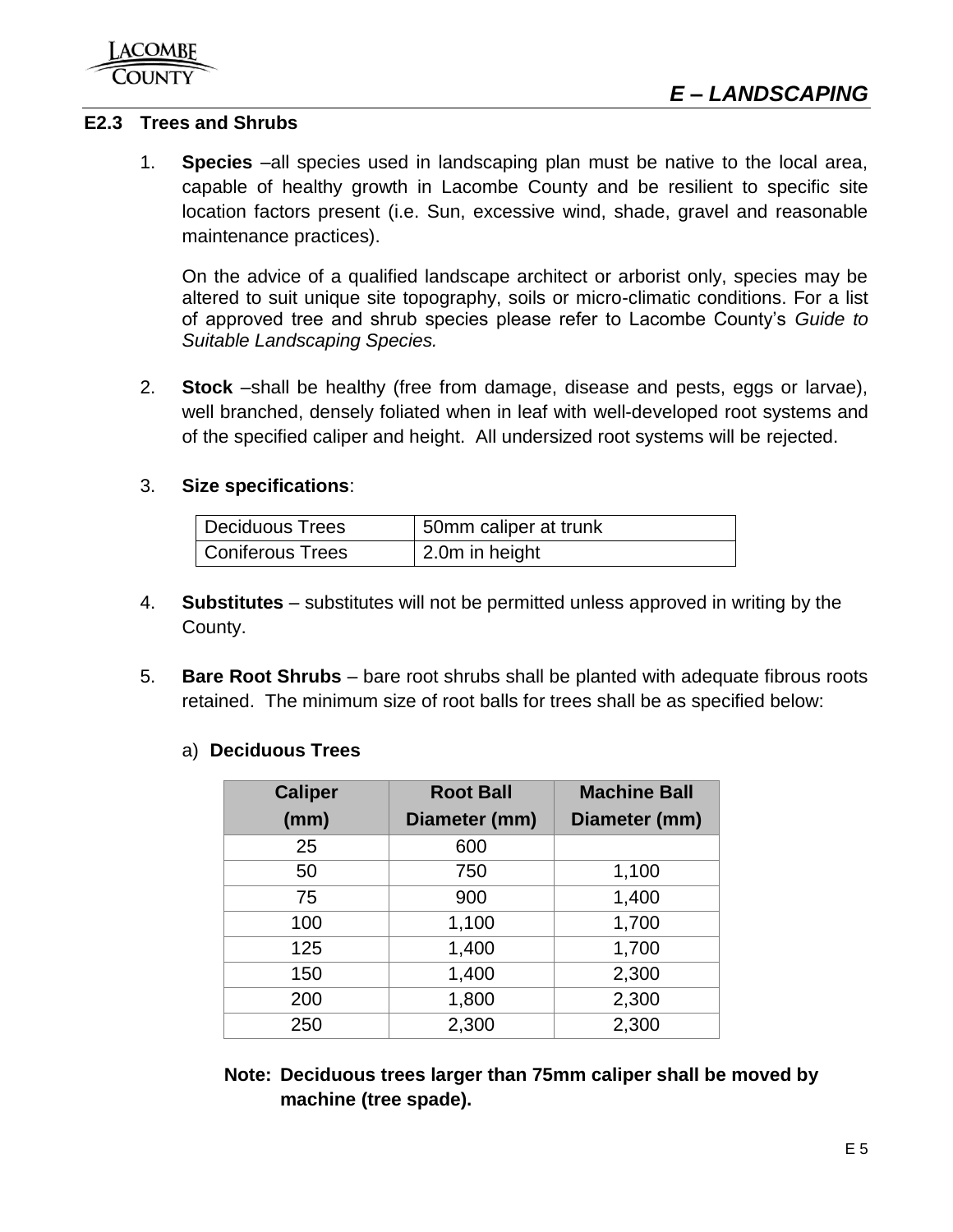### <span id="page-5-0"></span>**E2.3 Trees and Shrubs**

1. **Species** –all species used in landscaping plan must be native to the local area, capable of healthy growth in Lacombe County and be resilient to specific site location factors present (i.e. Sun, excessive wind, shade, gravel and reasonable maintenance practices).

On the advice of a qualified landscape architect or arborist only, species may be altered to suit unique site topography, soils or micro-climatic conditions. For a list of approved tree and shrub species please refer to Lacombe County's *Guide to Suitable Landscaping Species.*

2. **Stock** –shall be healthy (free from damage, disease and pests, eggs or larvae), well branched, densely foliated when in leaf with well-developed root systems and of the specified caliper and height. All undersized root systems will be rejected.

### 3. **Size specifications**:

| <b>Deciduous Trees</b>  | 50mm caliper at trunk |
|-------------------------|-----------------------|
| <b>Coniferous Trees</b> | 2.0m in height        |

- 4. **Substitutes** substitutes will not be permitted unless approved in writing by the County.
- 5. **Bare Root Shrubs** bare root shrubs shall be planted with adequate fibrous roots retained. The minimum size of root balls for trees shall be as specified below:

### a) **Deciduous Trees**

| <b>Caliper</b> | <b>Root Ball</b> | <b>Machine Ball</b> |
|----------------|------------------|---------------------|
| (mm)           | Diameter (mm)    | Diameter (mm)       |
| 25             | 600              |                     |
| 50             | 750              | 1,100               |
| 75             | 900              | 1,400               |
| 100            | 1,100            | 1,700               |
| 125            | 1,400            | 1,700               |
| 150            | 1,400            | 2,300               |
| 200            | 1,800            | 2,300               |
| 250            | 2,300            | 2,300               |

**Note: Deciduous trees larger than 75mm caliper shall be moved by machine (tree spade).**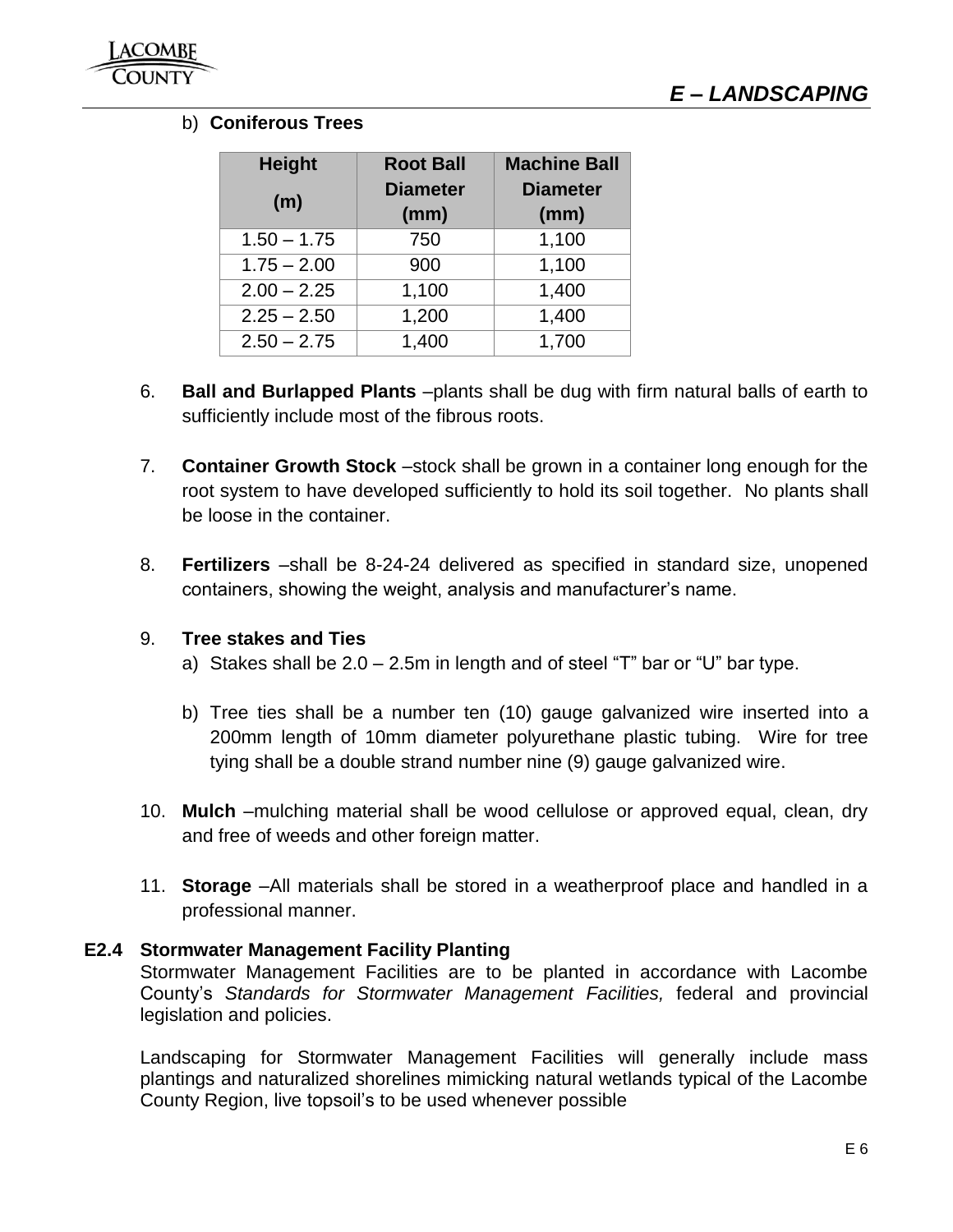### b) **Coniferous Trees**

| <b>Height</b> | <b>Root Ball</b> | <b>Machine Ball</b> |
|---------------|------------------|---------------------|
| (m)           | <b>Diameter</b>  | <b>Diameter</b>     |
|               | (mm)             | (mm)                |
| $1.50 - 1.75$ | 750              | 1,100               |
| $1.75 - 2.00$ | 900              | 1,100               |
| $2.00 - 2.25$ | 1,100            | 1,400               |
| $2.25 - 2.50$ | 1,200            | 1,400               |
| $2.50 - 2.75$ | 1,400            | 1,700               |

- 6. **Ball and Burlapped Plants** –plants shall be dug with firm natural balls of earth to sufficiently include most of the fibrous roots.
- 7. **Container Growth Stock** –stock shall be grown in a container long enough for the root system to have developed sufficiently to hold its soil together. No plants shall be loose in the container.
- 8. **Fertilizers** –shall be 8-24-24 delivered as specified in standard size, unopened containers, showing the weight, analysis and manufacturer's name.

### 9. **Tree stakes and Ties**

- a) Stakes shall be  $2.0 2.5$ m in length and of steel "T" bar or "U" bar type.
- b) Tree ties shall be a number ten (10) gauge galvanized wire inserted into a 200mm length of 10mm diameter polyurethane plastic tubing. Wire for tree tying shall be a double strand number nine (9) gauge galvanized wire.
- 10. **Mulch** –mulching material shall be wood cellulose or approved equal, clean, dry and free of weeds and other foreign matter.
- 11. **Storage** –All materials shall be stored in a weatherproof place and handled in a professional manner.

### **E2.4 Stormwater Management Facility Planting**

Stormwater Management Facilities are to be planted in accordance with Lacombe County's *Standards for Stormwater Management Facilities,* federal and provincial legislation and policies.

Landscaping for Stormwater Management Facilities will generally include mass plantings and naturalized shorelines mimicking natural wetlands typical of the Lacombe County Region, live topsoil's to be used whenever possible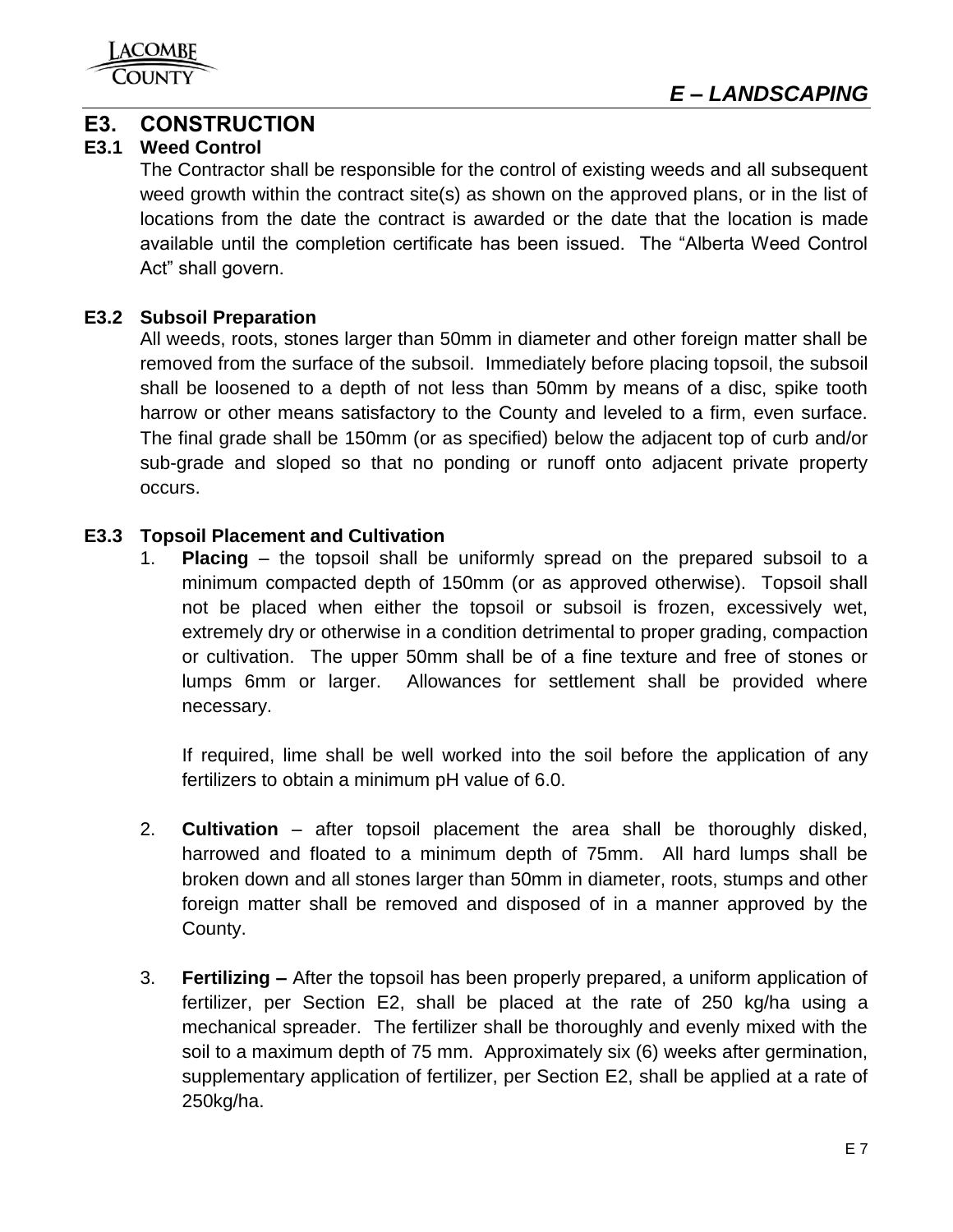

## <span id="page-7-0"></span>**E3. CONSTRUCTION**

### <span id="page-7-1"></span>**E3.1 Weed Control**

The Contractor shall be responsible for the control of existing weeds and all subsequent weed growth within the contract site(s) as shown on the approved plans, or in the list of locations from the date the contract is awarded or the date that the location is made available until the completion certificate has been issued. The "Alberta Weed Control Act" shall govern.

### <span id="page-7-2"></span>**E3.2 Subsoil Preparation**

All weeds, roots, stones larger than 50mm in diameter and other foreign matter shall be removed from the surface of the subsoil. Immediately before placing topsoil, the subsoil shall be loosened to a depth of not less than 50mm by means of a disc, spike tooth harrow or other means satisfactory to the County and leveled to a firm, even surface. The final grade shall be 150mm (or as specified) below the adjacent top of curb and/or sub-grade and sloped so that no ponding or runoff onto adjacent private property occurs.

### <span id="page-7-3"></span>**E3.3 Topsoil Placement and Cultivation**

1. **Placing** – the topsoil shall be uniformly spread on the prepared subsoil to a minimum compacted depth of 150mm (or as approved otherwise). Topsoil shall not be placed when either the topsoil or subsoil is frozen, excessively wet, extremely dry or otherwise in a condition detrimental to proper grading, compaction or cultivation. The upper 50mm shall be of a fine texture and free of stones or lumps 6mm or larger. Allowances for settlement shall be provided where necessary.

If required, lime shall be well worked into the soil before the application of any fertilizers to obtain a minimum pH value of 6.0.

- 2. **Cultivation** after topsoil placement the area shall be thoroughly disked, harrowed and floated to a minimum depth of 75mm. All hard lumps shall be broken down and all stones larger than 50mm in diameter, roots, stumps and other foreign matter shall be removed and disposed of in a manner approved by the County.
- 3. **Fertilizing –** After the topsoil has been properly prepared, a uniform application of fertilizer, per Section E2, shall be placed at the rate of 250 kg/ha using a mechanical spreader. The fertilizer shall be thoroughly and evenly mixed with the soil to a maximum depth of 75 mm. Approximately six (6) weeks after germination, supplementary application of fertilizer, per Section E2, shall be applied at a rate of 250kg/ha.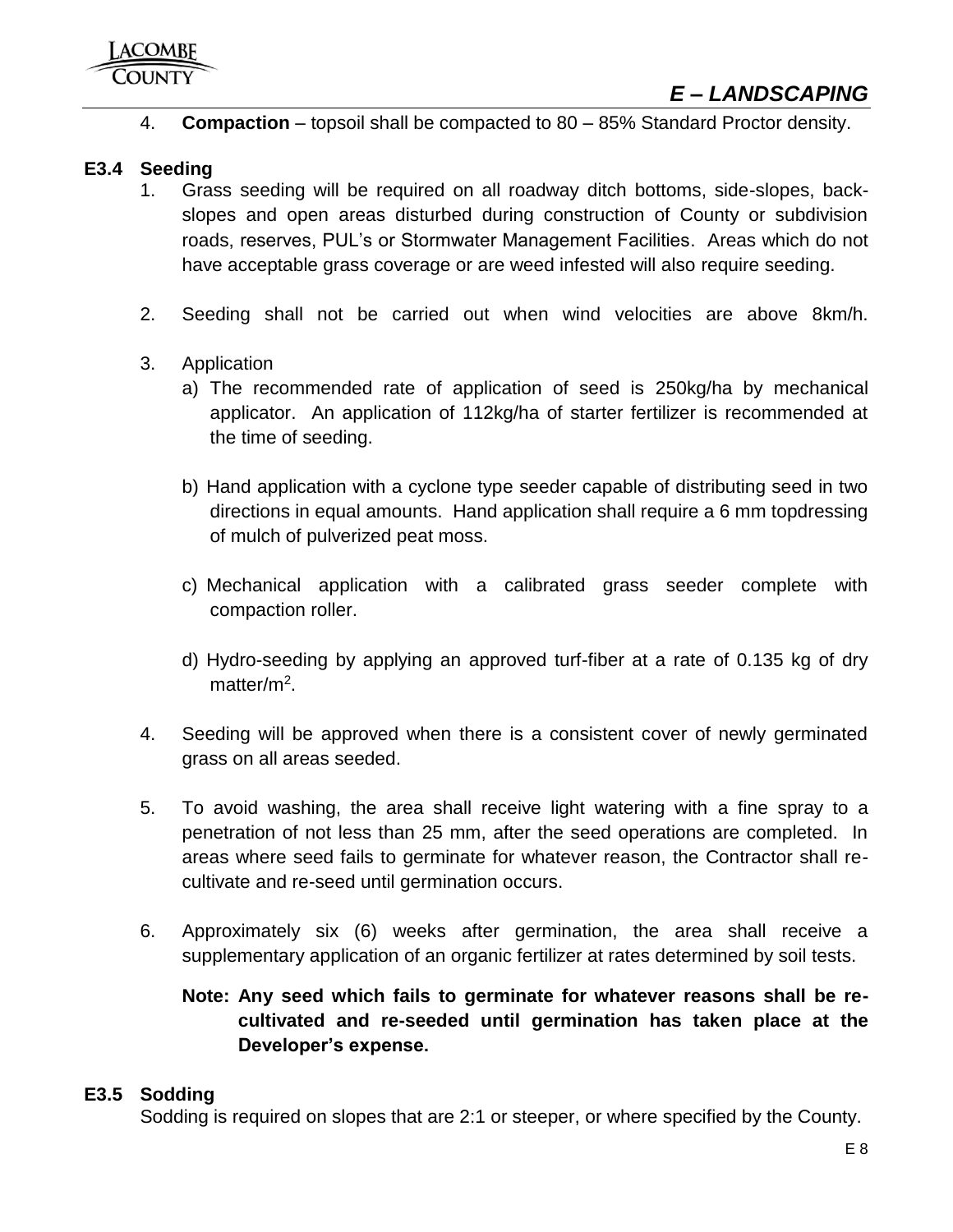4. **Compaction** – topsoil shall be compacted to 80 – 85% Standard Proctor density.

### <span id="page-8-0"></span>**E3.4 Seeding**

- 1. Grass seeding will be required on all roadway ditch bottoms, side-slopes, backslopes and open areas disturbed during construction of County or subdivision roads, reserves, PUL's or Stormwater Management Facilities. Areas which do not have acceptable grass coverage or are weed infested will also require seeding.
- 2. Seeding shall not be carried out when wind velocities are above 8km/h.
- 3. Application
	- a) The recommended rate of application of seed is 250kg/ha by mechanical applicator. An application of 112kg/ha of starter fertilizer is recommended at the time of seeding.
	- b) Hand application with a cyclone type seeder capable of distributing seed in two directions in equal amounts. Hand application shall require a 6 mm topdressing of mulch of pulverized peat moss.
	- c) Mechanical application with a calibrated grass seeder complete with compaction roller.
	- d) Hydro-seeding by applying an approved turf-fiber at a rate of 0.135 kg of dry matter/m<sup>2</sup>.
- 4. Seeding will be approved when there is a consistent cover of newly germinated grass on all areas seeded.
- 5. To avoid washing, the area shall receive light watering with a fine spray to a penetration of not less than 25 mm, after the seed operations are completed. In areas where seed fails to germinate for whatever reason, the Contractor shall recultivate and re-seed until germination occurs.
- 6. Approximately six (6) weeks after germination, the area shall receive a supplementary application of an organic fertilizer at rates determined by soil tests.

### **Note: Any seed which fails to germinate for whatever reasons shall be recultivated and re-seeded until germination has taken place at the Developer's expense.**

### <span id="page-8-1"></span>**E3.5 Sodding**

Sodding is required on slopes that are 2:1 or steeper, or where specified by the County.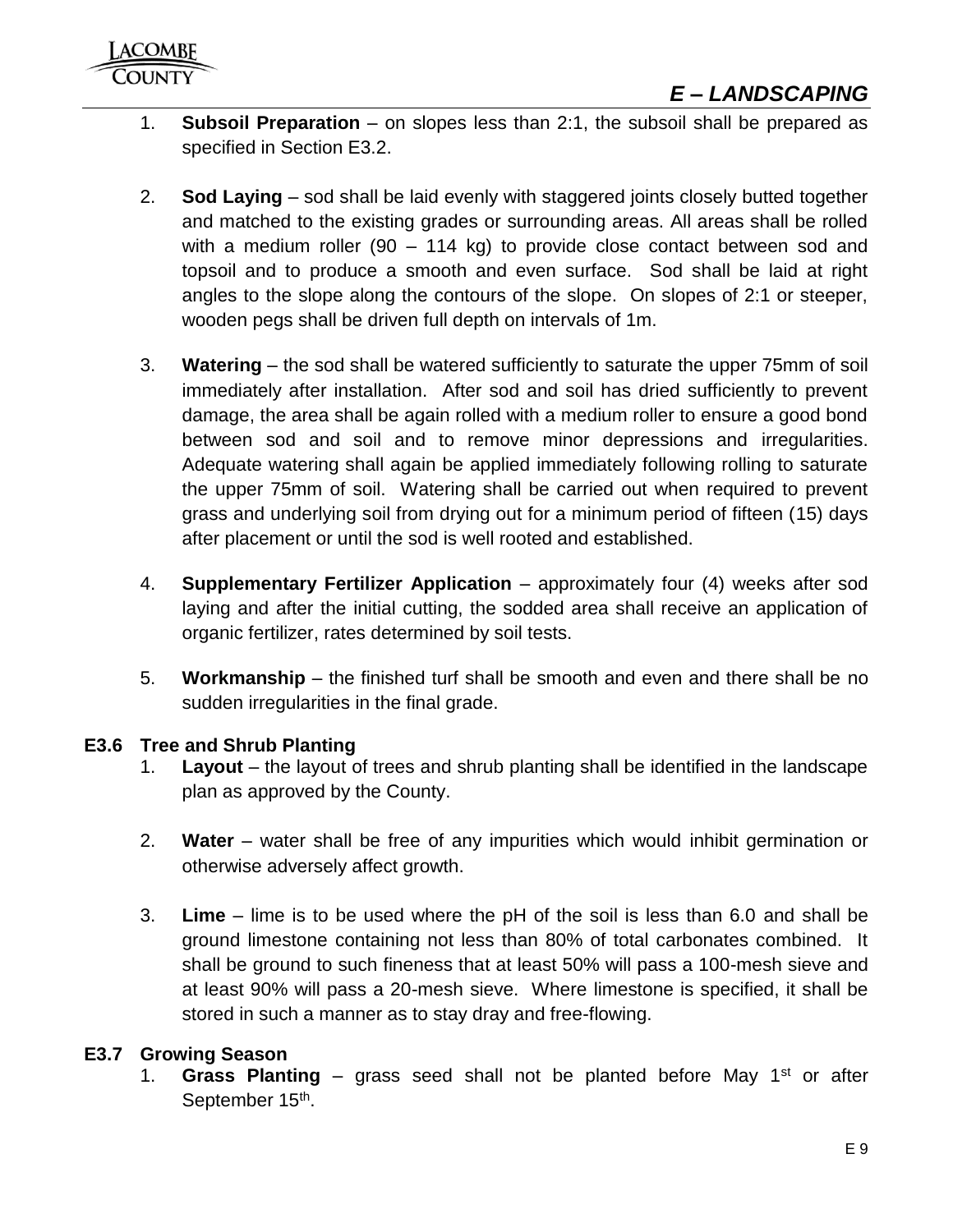- 1. **Subsoil Preparation** on slopes less than 2:1, the subsoil shall be prepared as specified in Section E3.2.
- 2. **Sod Laying** sod shall be laid evenly with staggered joints closely butted together and matched to the existing grades or surrounding areas. All areas shall be rolled with a medium roller (90 – 114 kg) to provide close contact between sod and topsoil and to produce a smooth and even surface. Sod shall be laid at right angles to the slope along the contours of the slope. On slopes of 2:1 or steeper, wooden pegs shall be driven full depth on intervals of 1m.
- 3. **Watering** the sod shall be watered sufficiently to saturate the upper 75mm of soil immediately after installation. After sod and soil has dried sufficiently to prevent damage, the area shall be again rolled with a medium roller to ensure a good bond between sod and soil and to remove minor depressions and irregularities. Adequate watering shall again be applied immediately following rolling to saturate the upper 75mm of soil. Watering shall be carried out when required to prevent grass and underlying soil from drying out for a minimum period of fifteen (15) days after placement or until the sod is well rooted and established.
- 4. **Supplementary Fertilizer Application** approximately four (4) weeks after sod laying and after the initial cutting, the sodded area shall receive an application of organic fertilizer, rates determined by soil tests.
- 5. **Workmanship** the finished turf shall be smooth and even and there shall be no sudden irregularities in the final grade.

### <span id="page-9-0"></span>**E3.6 Tree and Shrub Planting**

- 1. **Layout** the layout of trees and shrub planting shall be identified in the landscape plan as approved by the County.
- 2. **Water** water shall be free of any impurities which would inhibit germination or otherwise adversely affect growth.
- 3. **Lime** lime is to be used where the pH of the soil is less than 6.0 and shall be ground limestone containing not less than 80% of total carbonates combined. It shall be ground to such fineness that at least 50% will pass a 100-mesh sieve and at least 90% will pass a 20-mesh sieve. Where limestone is specified, it shall be stored in such a manner as to stay dray and free-flowing.

### <span id="page-9-1"></span>**E3.7 Growing Season**

1. **Grass Planting** – grass seed shall not be planted before May 1st or after September 15<sup>th</sup>.